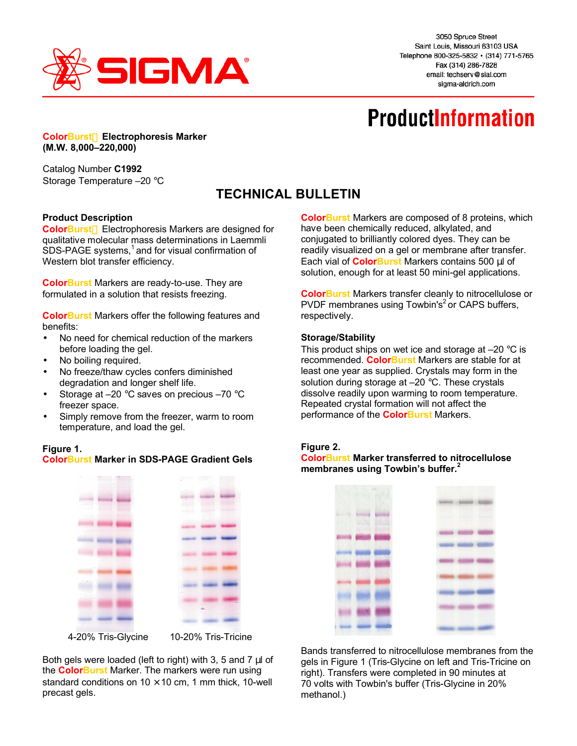

3050 Spruce Street Saint Louis, Missouri 63103 USA Telephone 800-325-5832 · (314) 771-5765 Fax (314) 286-7828 email: techserv@sial.com sigma-aldrich.com

# **ProductInformation**

**ColorBurst™ Electrophoresis Marker (M.W. 8,000–220,000)**

Catalog Number **C1992** Storage Temperature –20 °C

# **TECHNICAL BULLETIN**

### **Product Description**

ColorBurst<sup>™</sup> Electrophoresis Markers are designed for qualitative molecular mass determinations in Laemmli  $SDS-PAGE$  systems,<sup>1</sup> and for visual confirmation of Western blot transfer efficiency.

**ColorBurst** Markers are ready-to-use. They are formulated in a solution that resists freezing.

**ColorBurst** Markers offer the following features and benefits:

- No need for chemical reduction of the markers before loading the gel.
- No boiling required.
- No freeze/thaw cycles confers diminished degradation and longer shelf life.
- Storage at  $-20$  °C saves on precious  $-70$  °C freezer space.
- Simply remove from the freezer, warm to room temperature, and load the gel.

#### **Figure 1.**

| <b>ColorBurst Marker in SDS-PAGE Gradient Gels</b> |  |  |  |
|----------------------------------------------------|--|--|--|
|                                                    |  |  |  |



Both gels were loaded (left to right) with 3, 5 and 7 μl of the **ColorBurst** Marker. The markers were run using standard conditions on  $10 \times 10$  cm, 1 mm thick, 10-well precast gels.

**ColorBurst** Markers are composed of 8 proteins, which have been chemically reduced, alkylated, and conjugated to brilliantly colored dyes. They can be readily visualized on a gel or membrane after transfer. Each vial of **ColorBurst** Markers contains 500 μl of solution, enough for at least 50 mini-gel applications.

**ColorBurst** Markers transfer cleanly to nitrocellulose or PVDF membranes using Towbin's<sup>2</sup> or CAPS buffers, respectively.

#### **Storage/Stability**

This product ships on wet ice and storage at  $-20$  °C is recommended. **ColorBurst** Markers are stable for at least one year as supplied. Crystals may form in the solution during storage at -20 °C. These crystals dissolve readily upon warming to room temperature. Repeated crystal formation will not affect the performance of the **ColorBurst** Markers.

#### **Figure 2.**

**ColorBurst Marker transferred to nitrocellulose membranes using Towbin's buffer.<sup>2</sup>**



Bands transferred to nitrocellulose membranes from the gels in Figure 1 (Tris-Glycine on left and Tris-Tricine on right). Transfers were completed in 90 minutes at 70 volts with Towbin's buffer (Tris-Glycine in 20% methanol.)